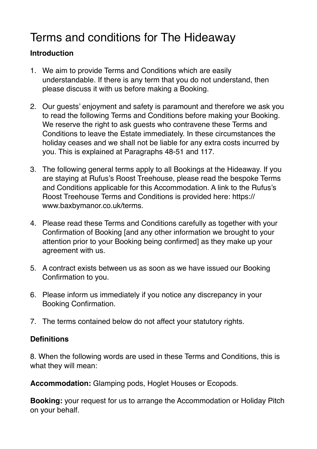# Terms and conditions for The Hideaway

## **Introduction**

- 1. We aim to provide Terms and Conditions which are easily understandable. If there is any term that you do not understand, then please discuss it with us before making a Booking.
- 2. Our guests' enjoyment and safety is paramount and therefore we ask you to read the following Terms and Conditions before making your Booking. We reserve the right to ask guests who contravene these Terms and Conditions to leave the Estate immediately. In these circumstances the holiday ceases and we shall not be liable for any extra costs incurred by you. This is explained at Paragraphs 48-51 and 117.
- 3. The following general terms apply to all Bookings at the Hideaway. If you are staying at Rufus's Roost Treehouse, please read the bespoke Terms and Conditions applicable for this Accommodation. A link to the Rufus's Roost Treehouse Terms and Conditions is provided here: https:// www.baxbymanor.co.uk/terms.
- 4. Please read these Terms and Conditions carefully as together with your Confirmation of Booking [and any other information we brought to your attention prior to your Booking being confirmed] as they make up your agreement with us.
- 5. A contract exists between us as soon as we have issued our Booking Confirmation to you.
- 6. Please inform us immediately if you notice any discrepancy in your Booking Confirmation.
- 7. The terms contained below do not affect your statutory rights.

## **Definitions**

8. When the following words are used in these Terms and Conditions, this is what they will mean:

**Accommodation:** Glamping pods, Hoglet Houses or Ecopods.

**Booking:** your request for us to arrange the Accommodation or Holiday Pitch on your behalf.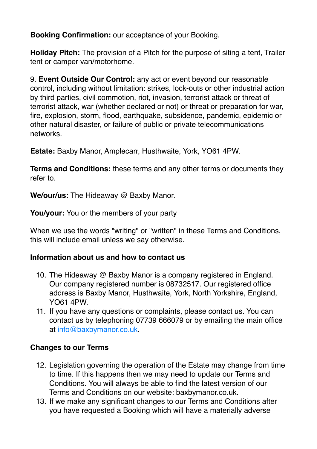**Booking Confirmation:** our acceptance of your Booking.

**Holiday Pitch:** The provision of a Pitch for the purpose of siting a tent, Trailer tent or camper van/motorhome.

9. **Event Outside Our Control:** any act or event beyond our reasonable control, including without limitation: strikes, lock-outs or other industrial action by third parties, civil commotion, riot, invasion, terrorist attack or threat of terrorist attack, war (whether declared or not) or threat or preparation for war, fire, explosion, storm, flood, earthquake, subsidence, pandemic, epidemic or other natural disaster, or failure of public or private telecommunications networks.

**Estate:** Baxby Manor, Amplecarr, Husthwaite, York, YO61 4PW.

**Terms and Conditions:** these terms and any other terms or documents they refer to.

**We/our/us:** The Hideaway @ Baxby Manor.

**You/your:** You or the members of your party

When we use the words "writing" or "written" in these Terms and Conditions, this will include email unless we say otherwise.

## **Information about us and how to contact us**

- 10. The Hideaway @ Baxby Manor is a company registered in England. Our company registered number is 08732517. Our registered office address is Baxby Manor, Husthwaite, York, North Yorkshire, England, YO61 4PW.
- 11. If you have any questions or complaints, please contact us. You can contact us by telephoning 07739 666079 or by emailing the main office at [info@baxbymanor.co.uk.](mailto:info@baxbymanor.co.uk)

## **Changes to our Terms**

- 12. Legislation governing the operation of the Estate may change from time to time. If this happens then we may need to update our Terms and Conditions. You will always be able to find the latest version of our Terms and Conditions on our website: baxbymanor.co.uk.
- 13. If we make any significant changes to our Terms and Conditions after you have requested a Booking which will have a materially adverse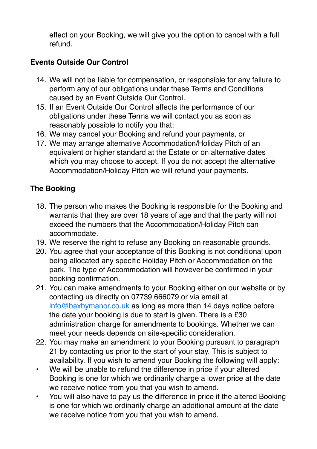effect on your Booking, we will give you the option to cancel with a full refund.

## **Events Outside Our Control**

- 14. We will not be liable for compensation, or responsible for any failure to perform any of our obligations under these Terms and Conditions caused by an Event Outside Our Control.
- 15. If an Event Outside Our Control affects the performance of our obligations under these Terms we will contact you as soon as reasonably possible to notify you that:
- 16. We may cancel your Booking and refund your payments, or
- 17. We may arrange alternative Accommodation/Holiday Pitch of an equivalent or higher standard at the Estate or on alternative dates which you may choose to accept. If you do not accept the alternative Accommodation/Holiday Pitch we will refund your payments.

# **The Booking**

- 18. The person who makes the Booking is responsible for the Booking and warrants that they are over 18 years of age and that the party will not exceed the numbers that the Accommodation/Holiday Pitch can accommodate.
- 19. We reserve the right to refuse any Booking on reasonable grounds.
- 20. You agree that your acceptance of this Booking is not conditional upon being allocated any specific Holiday Pitch or Accommodation on the park. The type of Accommodation will however be confirmed in your booking confirmation.
- 21. You can make amendments to your Booking either on our website or by contacting us directly on 07739 666079 or via email at [info@baxbymanor.co.uk](mailto:info@baxbymanor.co.uk) as long as more than 14 days notice before the date your booking is due to start is given. There is a £30 administration charge for amendments to bookings. Whether we can meet your needs depends on site-specific consideration.
- 22. You may make an amendment to your Booking pursuant to paragraph 21 by contacting us prior to the start of your stay. This is subject to availability. If you wish to amend your Booking the following will apply:
- We will be unable to refund the difference in price if your altered Booking is one for which we ordinarily charge a lower price at the date we receive notice from you that you wish to amend.
- You will also have to pay us the difference in price if the altered Booking is one for which we ordinarily charge an additional amount at the date we receive notice from you that you wish to amend.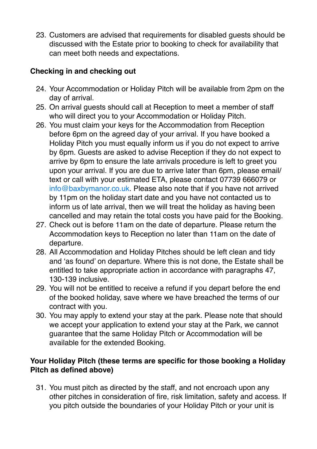23. Customers are advised that requirements for disabled guests should be discussed with the Estate prior to booking to check for availability that can meet both needs and expectations.

## **Checking in and checking out**

- 24. Your Accommodation or Holiday Pitch will be available from 2pm on the day of arrival.
- 25. On arrival guests should call at Reception to meet a member of staff who will direct you to your Accommodation or Holiday Pitch.
- 26. You must claim your keys for the Accommodation from Reception before 6pm on the agreed day of your arrival. If you have booked a Holiday Pitch you must equally inform us if you do not expect to arrive by 6pm. Guests are asked to advise Reception if they do not expect to arrive by 6pm to ensure the late arrivals procedure is left to greet you upon your arrival. If you are due to arrive later than 6pm, please email/ text or call with your estimated ETA, please contact 07739 666079 or [info@baxbymanor.co.uk](mailto:info@baxbymanor.co.uk). Please also note that if you have not arrived by 11pm on the holiday start date and you have not contacted us to inform us of late arrival, then we will treat the holiday as having been cancelled and may retain the total costs you have paid for the Booking.
- 27. Check out is before 11am on the date of departure. Please return the Accommodation keys to Reception no later than 11am on the date of departure.
- 28. All Accommodation and Holiday Pitches should be left clean and tidy and 'as found' on departure. Where this is not done, the Estate shall be entitled to take appropriate action in accordance with paragraphs 47, 130-139 inclusive.
- 29. You will not be entitled to receive a refund if you depart before the end of the booked holiday, save where we have breached the terms of our contract with you.
- 30. You may apply to extend your stay at the park. Please note that should we accept your application to extend your stay at the Park, we cannot guarantee that the same Holiday Pitch or Accommodation will be available for the extended Booking.

## **Your Holiday Pitch (these terms are specific for those booking a Holiday Pitch as defined above)**

31. You must pitch as directed by the staff, and not encroach upon any other pitches in consideration of fire, risk limitation, safety and access. If you pitch outside the boundaries of your Holiday Pitch or your unit is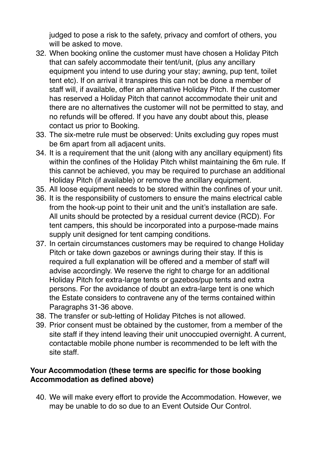judged to pose a risk to the safety, privacy and comfort of others, you will be asked to move.

- 32. When booking online the customer must have chosen a Holiday Pitch that can safely accommodate their tent/unit, (plus any ancillary equipment you intend to use during your stay; awning, pup tent, toilet tent etc). If on arrival it transpires this can not be done a member of staff will, if available, offer an alternative Holiday Pitch. If the customer has reserved a Holiday Pitch that cannot accommodate their unit and there are no alternatives the customer will not be permitted to stay, and no refunds will be offered. If you have any doubt about this, please contact us prior to Booking.
- 33. The six-metre rule must be observed: Units excluding guy ropes must be 6m apart from all adjacent units.
- 34. It is a requirement that the unit (along with any ancillary equipment) fits within the confines of the Holiday Pitch whilst maintaining the 6m rule. If this cannot be achieved, you may be required to purchase an additional Holiday Pitch (if available) or remove the ancillary equipment.
- 35. All loose equipment needs to be stored within the confines of your unit.
- 36. It is the responsibility of customers to ensure the mains electrical cable from the hook-up point to their unit and the unit's installation are safe. All units should be protected by a residual current device (RCD). For tent campers, this should be incorporated into a purpose-made mains supply unit designed for tent camping conditions.
- 37. In certain circumstances customers may be required to change Holiday Pitch or take down gazebos or awnings during their stay. If this is required a full explanation will be offered and a member of staff will advise accordingly. We reserve the right to charge for an additional Holiday Pitch for extra-large tents or gazebos/pup tents and extra persons. For the avoidance of doubt an extra-large tent is one which the Estate considers to contravene any of the terms contained within Paragraphs 31-36 above.
- 38. The transfer or sub-letting of Holiday Pitches is not allowed.
- 39. Prior consent must be obtained by the customer, from a member of the site staff if they intend leaving their unit unoccupied overnight. A current, contactable mobile phone number is recommended to be left with the site staff.

## **Your Accommodation (these terms are specific for those booking Accommodation as defined above)**

40. We will make every effort to provide the Accommodation. However, we may be unable to do so due to an Event Outside Our Control.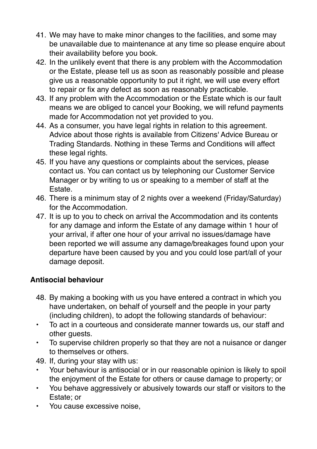- 41. We may have to make minor changes to the facilities, and some may be unavailable due to maintenance at any time so please enquire about their availability before you book.
- 42. In the unlikely event that there is any problem with the Accommodation or the Estate, please tell us as soon as reasonably possible and please give us a reasonable opportunity to put it right, we will use every effort to repair or fix any defect as soon as reasonably practicable.
- 43. If any problem with the Accommodation or the Estate which is our fault means we are obliged to cancel your Booking, we will refund payments made for Accommodation not yet provided to you.
- 44. As a consumer, you have legal rights in relation to this agreement. Advice about those rights is available from Citizens' Advice Bureau or Trading Standards. Nothing in these Terms and Conditions will affect these legal rights.
- 45. If you have any questions or complaints about the services, please contact us. You can contact us by telephoning our Customer Service Manager or by writing to us or speaking to a member of staff at the Estate.
- 46. There is a minimum stay of 2 nights over a weekend (Friday/Saturday) for the Accommodation.
- 47. It is up to you to check on arrival the Accommodation and its contents for any damage and inform the Estate of any damage within 1 hour of your arrival, if after one hour of your arrival no issues/damage have been reported we will assume any damage/breakages found upon your departure have been caused by you and you could lose part/all of your damage deposit.

## **Antisocial behaviour**

- 48. By making a booking with us you have entered a contract in which you have undertaken, on behalf of yourself and the people in your party (including children), to adopt the following standards of behaviour:
- To act in a courteous and considerate manner towards us, our staff and other guests.
- To supervise children properly so that they are not a nuisance or danger to themselves or others.
- 49. If, during your stay with us:
- Your behaviour is antisocial or in our reasonable opinion is likely to spoil the enjoyment of the Estate for others or cause damage to property; or
- You behave aggressively or abusively towards our staff or visitors to the Estate; or
- You cause excessive noise,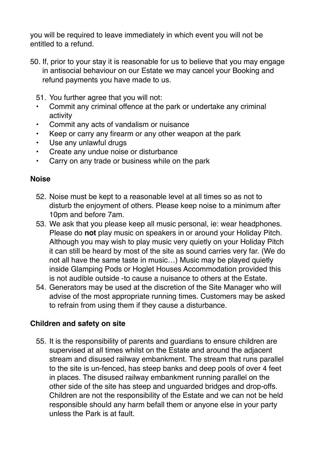you will be required to leave immediately in which event you will not be entitled to a refund.

- 50. If, prior to your stay it is reasonable for us to believe that you may engage in antisocial behaviour on our Estate we may cancel your Booking and refund payments you have made to us.
	- 51. You further agree that you will not:
	- Commit any criminal offence at the park or undertake any criminal activity
	- Commit any acts of vandalism or nuisance
	- Keep or carry any firearm or any other weapon at the park
	- Use any unlawful drugs
	- Create any undue noise or disturbance
	- Carry on any trade or business while on the park

#### **Noise**

- 52. Noise must be kept to a reasonable level at all times so as not to disturb the enjoyment of others. Please keep noise to a minimum after 10pm and before 7am.
- 53. We ask that you please keep all music personal, ie: wear headphones. Please do **not** play music on speakers in or around your Holiday Pitch. Although you may wish to play music very quietly on your Holiday Pitch it can still be heard by most of the site as sound carries very far. (We do not all have the same taste in music…) Music may be played quietly inside Glamping Pods or Hoglet Houses Accommodation provided this is not audible outside -to cause a nuisance to others at the Estate.
- 54. Generators may be used at the discretion of the Site Manager who will advise of the most appropriate running times. Customers may be asked to refrain from using them if they cause a disturbance.

## **Children and safety on site**

55. It is the responsibility of parents and guardians to ensure children are supervised at all times whilst on the Estate and around the adjacent stream and disused railway embankment. The stream that runs parallel to the site is un-fenced, has steep banks and deep pools of over 4 feet in places. The disused railway embankment running parallel on the other side of the site has steep and unguarded bridges and drop-offs. Children are not the responsibility of the Estate and we can not be held responsible should any harm befall them or anyone else in your party unless the Park is at fault.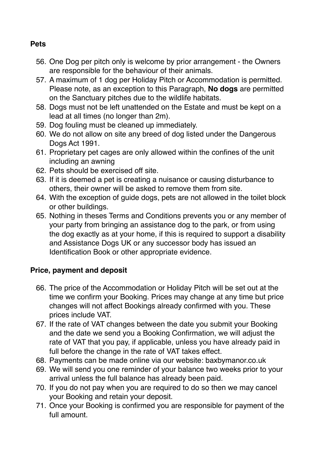#### **Pets**

- 56. One Dog per pitch only is welcome by prior arrangement the Owners are responsible for the behaviour of their animals.
- 57. A maximum of 1 dog per Holiday Pitch or Accommodation is permitted. Please note, as an exception to this Paragraph, **No dogs** are permitted on the Sanctuary pitches due to the wildlife habitats.
- 58. Dogs must not be left unattended on the Estate and must be kept on a lead at all times (no longer than 2m).
- 59. Dog fouling must be cleaned up immediately.
- 60. We do not allow on site any breed of dog listed under the Dangerous Dogs Act 1991.
- 61. Proprietary pet cages are only allowed within the confines of the unit including an awning
- 62. Pets should be exercised off site.
- 63. If it is deemed a pet is creating a nuisance or causing disturbance to others, their owner will be asked to remove them from site.
- 64. With the exception of guide dogs, pets are not allowed in the toilet block or other buildings.
- 65. Nothing in theses Terms and Conditions prevents you or any member of your party from bringing an assistance dog to the park, or from using the dog exactly as at your home, if this is required to support a disability and Assistance Dogs UK or any successor body has issued an Identification Book or other appropriate evidence.

## **Price, payment and deposit**

- 66. The price of the Accommodation or Holiday Pitch will be set out at the time we confirm your Booking. Prices may change at any time but price changes will not affect Bookings already confirmed with you. These prices include VAT.
- 67. If the rate of VAT changes between the date you submit your Booking and the date we send you a Booking Confirmation, we will adjust the rate of VAT that you pay, if applicable, unless you have already paid in full before the change in the rate of VAT takes effect.
- 68. Payments can be made online via our website: baxbymanor.co.uk
- 69. We will send you one reminder of your balance two weeks prior to your arrival unless the full balance has already been paid.
- 70. If you do not pay when you are required to do so then we may cancel your Booking and retain your deposit.
- 71. Once your Booking is confirmed you are responsible for payment of the full amount.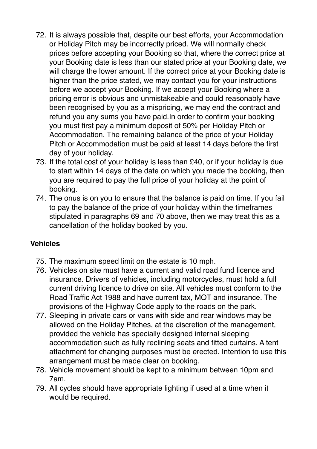- 72. It is always possible that, despite our best efforts, your Accommodation or Holiday Pitch may be incorrectly priced. We will normally check prices before accepting your Booking so that, where the correct price at your Booking date is less than our stated price at your Booking date, we will charge the lower amount. If the correct price at your Booking date is higher than the price stated, we may contact you for your instructions before we accept your Booking. If we accept your Booking where a pricing error is obvious and unmistakeable and could reasonably have been recognised by you as a mispricing, we may end the contract and refund you any sums you have paid.In order to confirm your booking you must first pay a minimum deposit of 50% per Holiday Pitch or Accommodation. The remaining balance of the price of your Holiday Pitch or Accommodation must be paid at least 14 days before the first day of your holiday.
- 73. If the total cost of your holiday is less than £40, or if your holiday is due to start within 14 days of the date on which you made the booking, then you are required to pay the full price of your holiday at the point of booking.
- 74. The onus is on you to ensure that the balance is paid on time. If you fail to pay the balance of the price of your holiday within the timeframes stipulated in paragraphs 69 and 70 above, then we may treat this as a cancellation of the holiday booked by you.

## **Vehicles**

- 75. The maximum speed limit on the estate is 10 mph.
- 76. Vehicles on site must have a current and valid road fund licence and insurance. Drivers of vehicles, including motorcycles, must hold a full current driving licence to drive on site. All vehicles must conform to the Road Traffic Act 1988 and have current tax, MOT and insurance. The provisions of the Highway Code apply to the roads on the park.
- 77. Sleeping in private cars or vans with side and rear windows may be allowed on the Holiday Pitches, at the discretion of the management, provided the vehicle has specially designed internal sleeping accommodation such as fully reclining seats and fitted curtains. A tent attachment for changing purposes must be erected. Intention to use this arrangement must be made clear on booking.
- 78. Vehicle movement should be kept to a minimum between 10pm and 7am.
- 79. All cycles should have appropriate lighting if used at a time when it would be required.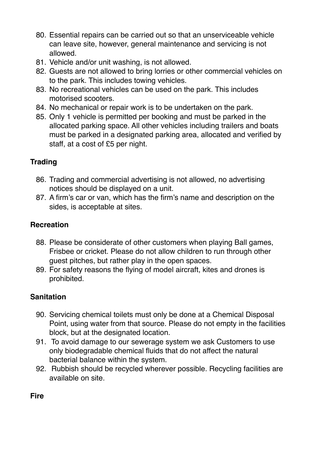- 80. Essential repairs can be carried out so that an unserviceable vehicle can leave site, however, general maintenance and servicing is not allowed.
- 81. Vehicle and/or unit washing, is not allowed.
- 82. Guests are not allowed to bring lorries or other commercial vehicles on to the park. This includes towing vehicles.
- 83. No recreational vehicles can be used on the park. This includes motorised scooters.
- 84. No mechanical or repair work is to be undertaken on the park.
- 85. Only 1 vehicle is permitted per booking and must be parked in the allocated parking space. All other vehicles including trailers and boats must be parked in a designated parking area, allocated and verified by staff, at a cost of £5 per night.

# **Trading**

- 86. Trading and commercial advertising is not allowed, no advertising notices should be displayed on a unit.
- 87. A firm's car or van, which has the firm's name and description on the sides, is acceptable at sites.

## **Recreation**

- 88. Please be considerate of other customers when playing Ball games, Frisbee or cricket. Please do not allow children to run through other guest pitches, but rather play in the open spaces.
- 89. For safety reasons the flying of model aircraft, kites and drones is prohibited.

# **Sanitation**

- 90. Servicing chemical toilets must only be done at a Chemical Disposal Point, using water from that source. Please do not empty in the facilities block, but at the designated location.
- 91. To avoid damage to our sewerage system we ask Customers to use only biodegradable chemical fluids that do not affect the natural bacterial balance within the system.
- 92. Rubbish should be recycled wherever possible. Recycling facilities are available on site.

**Fire**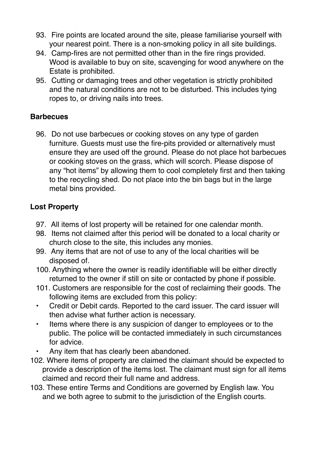- 93. Fire points are located around the site, please familiarise yourself with your nearest point. There is a non-smoking policy in all site buildings.
- 94. Camp-fires are not permitted other than in the fire rings provided. Wood is available to buy on site, scavenging for wood anywhere on the Estate is prohibited.
- 95. Cutting or damaging trees and other vegetation is strictly prohibited and the natural conditions are not to be disturbed. This includes tying ropes to, or driving nails into trees.

## **Barbecues**

96. Do not use barbecues or cooking stoves on any type of garden furniture. Guests must use the fire-pits provided or alternatively must ensure they are used off the ground. Please do not place hot barbecues or cooking stoves on the grass, which will scorch. Please dispose of any "hot items" by allowing them to cool completely first and then taking to the recycling shed. Do not place into the bin bags but in the large metal bins provided.

## **Lost Property**

- 97. All items of lost property will be retained for one calendar month.
- 98. Items not claimed after this period will be donated to a local charity or church close to the site, this includes any monies.
- 99. Any items that are not of use to any of the local charities will be disposed of.
- 100. Anything where the owner is readily identifiable will be either directly returned to the owner if still on site or contacted by phone if possible.
- 101. Customers are responsible for the cost of reclaiming their goods. The following items are excluded from this policy:
- Credit or Debit cards. Reported to the card issuer. The card issuer will then advise what further action is necessary.
- Items where there is any suspicion of danger to employees or to the public. The police will be contacted immediately in such circumstances for advice.
- Any item that has clearly been abandoned.
- 102. Where items of property are claimed the claimant should be expected to provide a description of the items lost. The claimant must sign for all items claimed and record their full name and address.
- 103. These entire Terms and Conditions are governed by English law. You and we both agree to submit to the jurisdiction of the English courts.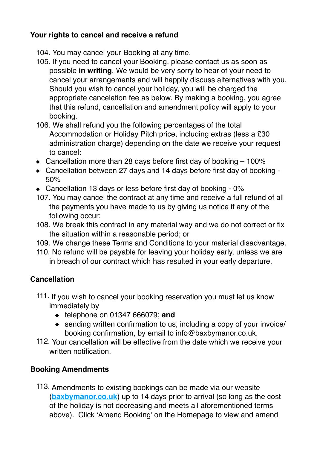## **Your rights to cancel and receive a refund**

- 104. You may cancel your Booking at any time.
- 105. If you need to cancel your Booking, please contact us as soon as possible **in writing**. We would be very sorry to hear of your need to cancel your arrangements and will happily discuss alternatives with you. Should you wish to cancel your holiday, you will be charged the appropriate cancelation fee as below. By making a booking, you agree that this refund, cancellation and amendment policy will apply to your booking.
- 106. We shall refund you the following percentages of the total Accommodation or Holiday Pitch price, including extras (less a £30 administration charge) depending on the date we receive your request to cancel:
- $\bullet$  Cancellation more than 28 days before first day of booking  $-100\%$
- Cancellation between 27 days and 14 days before first day of booking 50%
- ◆ Cancellation 13 days or less before first day of booking 0%
- 107. You may cancel the contract at any time and receive a full refund of all the payments you have made to us by giving us notice if any of the following occur:
- 108. We break this contract in any material way and we do not correct or fix the situation within a reasonable period; or
- 109. We change these Terms and Conditions to your material disadvantage.
- 110. No refund will be payable for leaving your holiday early, unless we are in breach of our contract which has resulted in your early departure.

## **Cancellation**

- 111. If you wish to cancel your booking reservation you must let us know immediately by
	- telephone on 01347 666079; **and**
	- sending written confirmation to us, including a copy of your invoice/ booking confirmation, by email to info@baxbymanor.co.uk.
- 112. Your cancellation will be effective from the date which we receive your written notification.

## **Booking Amendments**

113. Amendments to existing bookings can be made via our website (**[baxbymanor.co.uk](http://baxbymanor.co.uk)**) up to 14 days prior to arrival (so long as the cost of the holiday is not decreasing and meets all aforementioned terms above). Click 'Amend Booking' on the Homepage to view and amend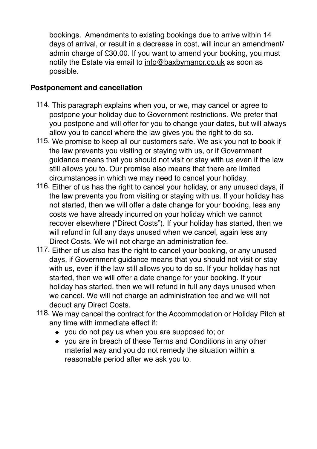bookings. Amendments to existing bookings due to arrive within 14 days of arrival, or result in a decrease in cost, will incur an amendment/ admin charge of £30.00. If you want to amend your booking, you must notify the Estate via email to [info@baxbymanor.co.uk](mailto:info@baxbymanor.co.uk) as soon as possible.

## **Postponement and cancellation**

- 114. This paragraph explains when you, or we, may cancel or agree to postpone your holiday due to Government restrictions. We prefer that you postpone and will offer for you to change your dates, but will always allow you to cancel where the law gives you the right to do so.
- 115. We promise to keep all our customers safe. We ask you not to book if the law prevents you visiting or staying with us, or if Government guidance means that you should not visit or stay with us even if the law still allows you to. Our promise also means that there are limited circumstances in which we may need to cancel your holiday.
- 116. Either of us has the right to cancel your holiday, or any unused days, if the law prevents you from visiting or staying with us. If your holiday has not started, then we will offer a date change for your booking, less any costs we have already incurred on your holiday which we cannot recover elsewhere ("Direct Costs"). If your holiday has started, then we will refund in full any days unused when we cancel, again less any Direct Costs. We will not charge an administration fee.
- 117. Either of us also has the right to cancel your booking, or any unused days, if Government guidance means that you should not visit or stay with us, even if the law still allows you to do so. If your holiday has not started, then we will offer a date change for your booking. If your holiday has started, then we will refund in full any days unused when we cancel. We will not charge an administration fee and we will not deduct any Direct Costs.
- 118. We may cancel the contract for the Accommodation or Holiday Pitch at any time with immediate effect if:
	- you do not pay us when you are supposed to; or
	- you are in breach of these Terms and Conditions in any other material way and you do not remedy the situation within a reasonable period after we ask you to.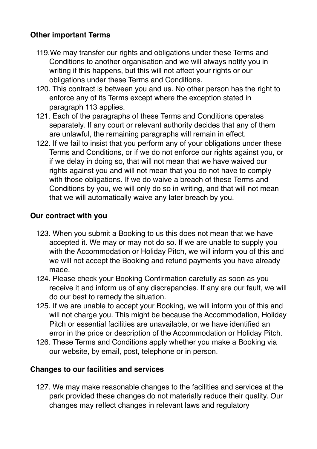## **Other important Terms**

- 119.We may transfer our rights and obligations under these Terms and Conditions to another organisation and we will always notify you in writing if this happens, but this will not affect your rights or our obligations under these Terms and Conditions.
- 120. This contract is between you and us. No other person has the right to enforce any of its Terms except where the exception stated in paragraph 113 applies.
- 121. Each of the paragraphs of these Terms and Conditions operates separately. If any court or relevant authority decides that any of them are unlawful, the remaining paragraphs will remain in effect.
- 122. If we fail to insist that you perform any of your obligations under these Terms and Conditions, or if we do not enforce our rights against you, or if we delay in doing so, that will not mean that we have waived our rights against you and will not mean that you do not have to comply with those obligations. If we do waive a breach of these Terms and Conditions by you, we will only do so in writing, and that will not mean that we will automatically waive any later breach by you.

#### **Our contract with you**

- 123. When you submit a Booking to us this does not mean that we have accepted it. We may or may not do so. If we are unable to supply you with the Accommodation or Holiday Pitch, we will inform you of this and we will not accept the Booking and refund payments you have already made.
- 124. Please check your Booking Confirmation carefully as soon as you receive it and inform us of any discrepancies. If any are our fault, we will do our best to remedy the situation.
- 125. If we are unable to accept your Booking, we will inform you of this and will not charge you. This might be because the Accommodation, Holiday Pitch or essential facilities are unavailable, or we have identified an error in the price or description of the Accommodation or Holiday Pitch.
- 126. These Terms and Conditions apply whether you make a Booking via our website, by email, post, telephone or in person.

#### **Changes to our facilities and services**

127. We may make reasonable changes to the facilities and services at the park provided these changes do not materially reduce their quality. Our changes may reflect changes in relevant laws and regulatory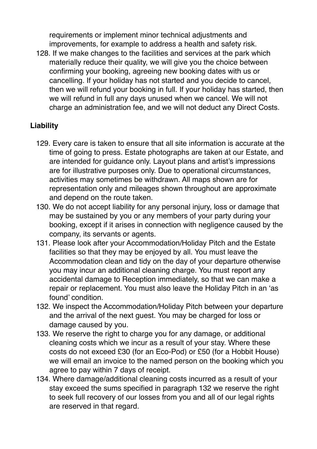requirements or implement minor technical adjustments and improvements, for example to address a health and safety risk.

128. If we make changes to the facilities and services at the park which materially reduce their quality, we will give you the choice between confirming your booking, agreeing new booking dates with us or cancelling. If your holiday has not started and you decide to cancel, then we will refund your booking in full. If your holiday has started, then we will refund in full any days unused when we cancel. We will not charge an administration fee, and we will not deduct any Direct Costs.

## **Liability**

- 129. Every care is taken to ensure that all site information is accurate at the time of going to press. Estate photographs are taken at our Estate, and are intended for guidance only. Layout plans and artist's impressions are for illustrative purposes only. Due to operational circumstances, activities may sometimes be withdrawn. All maps shown are for representation only and mileages shown throughout are approximate and depend on the route taken.
- 130. We do not accept liability for any personal injury, loss or damage that may be sustained by you or any members of your party during your booking, except if it arises in connection with negligence caused by the company, its servants or agents.
- 131. Please look after your Accommodation/Holiday Pitch and the Estate facilities so that they may be enjoyed by all. You must leave the Accommodation clean and tidy on the day of your departure otherwise you may incur an additional cleaning charge. You must report any accidental damage to Reception immediately, so that we can make a repair or replacement. You must also leave the Holiday Pitch in an 'as found' condition.
- 132. We inspect the Accommodation/Holiday Pitch between your departure and the arrival of the next guest. You may be charged for loss or damage caused by you.
- 133. We reserve the right to charge you for any damage, or additional cleaning costs which we incur as a result of your stay. Where these costs do not exceed £30 (for an Eco-Pod) or £50 (for a Hobbit House) we will email an invoice to the named person on the booking which you agree to pay within 7 days of receipt.
- 134. Where damage/additional cleaning costs incurred as a result of your stay exceed the sums specified in paragraph 132 we reserve the right to seek full recovery of our losses from you and all of our legal rights are reserved in that regard.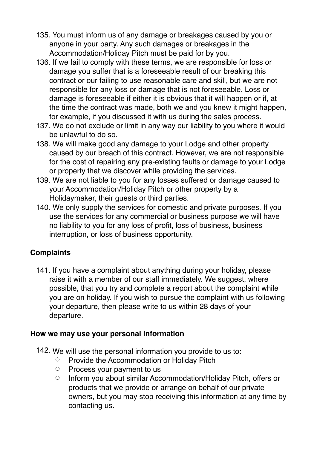- 135. You must inform us of any damage or breakages caused by you or anyone in your party. Any such damages or breakages in the Accommodation/Holiday Pitch must be paid for by you.
- 136. If we fail to comply with these terms, we are responsible for loss or damage you suffer that is a foreseeable result of our breaking this contract or our failing to use reasonable care and skill, but we are not responsible for any loss or damage that is not foreseeable. Loss or damage is foreseeable if either it is obvious that it will happen or if, at the time the contract was made, both we and you knew it might happen, for example, if you discussed it with us during the sales process.
- 137. We do not exclude or limit in any way our liability to you where it would be unlawful to do so.
- 138. We will make good any damage to your Lodge and other property caused by our breach of this contract. However, we are not responsible for the cost of repairing any pre-existing faults or damage to your Lodge or property that we discover while providing the services.
- 139. We are not liable to you for any losses suffered or damage caused to your Accommodation/Holiday Pitch or other property by a Holidaymaker, their guests or third parties.
- 140. We only supply the services for domestic and private purposes. If you use the services for any commercial or business purpose we will have no liability to you for any loss of profit, loss of business, business interruption, or loss of business opportunity.

## **Complaints**

141. If you have a complaint about anything during your holiday, please raise it with a member of our staff immediately. We suggest, where possible, that you try and complete a report about the complaint while you are on holiday. If you wish to pursue the complaint with us following your departure, then please write to us within 28 days of your departure.

## **How we may use your personal information**

- 142. We will use the personal information you provide to us to:
	- Provide the Accommodation or Holiday Pitch
	- Process your payment to us
	- Inform you about similar Accommodation/Holiday Pitch, offers or products that we provide or arrange on behalf of our private owners, but you may stop receiving this information at any time by contacting us.